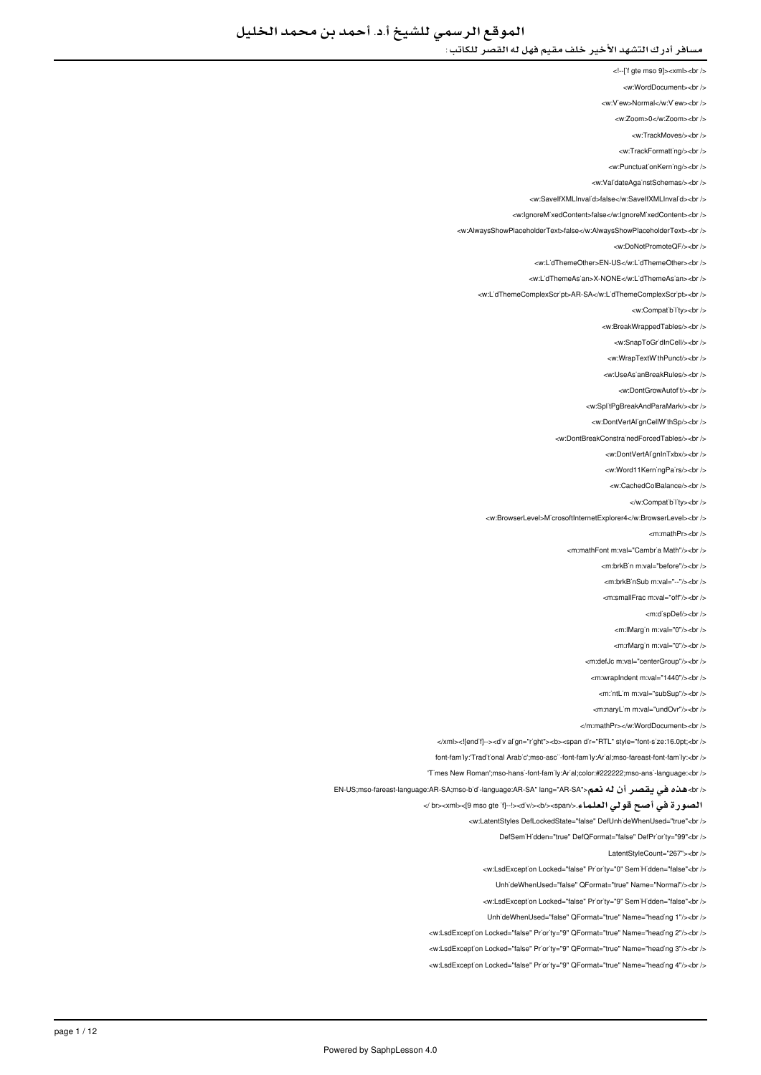<!--['f gte mso 9]><xml><br/>>br />

<w:WordDocument><br />

<w:V'ew>Normal</w:V'ew><br/></w

<w:Zoom>0</w:Zoom><br/><br/>

<w:TrackMoves/><br/><br/>

<w:TrackFormatting/>

<w PunctuationKerning/><br />

<w:ValidateAgainstSchemas/><br/>

<w:SaveIfXMLInvalid>false</w:SaveIfXMLInvalid><br/></w </

<w:lgnoreMixedContent>false</w:lgnoreMixedContent><br />

<w:AlwaysShowPlaceholderText>false</w:AlwaysShowPlaceholderText><br/><br/>

<w:DoNotPromoteQF/><br/><br/>

<w:L'dThemeOther>EN-US</w:L'dThemeOther><br />

</ br><LidThemeAsian:w/<NONE-X>LidThemeAsian:w <

<w:L'dThemeComplexScr'pt>AR-SA</w:L'dThemeComplexScr'pt><br />

<w:Compatibility><br/><br/>

<w:BreakWrappedTables/><br/><br/>>/>

<w:SnapToGr'dInCell/><br />

<w:WrapTextWithPunct/><br/><br/>

</ br></UseAsianBreakRules:w <

<w:DontGrowAutof<sub>t</sub>/>t/><br/></br

<w:SplitPgBreakAndParaMark/><br />

<w:DontVertAl'gnCellW'thSp/><br />

<w:DontBreakConstrainedForcedTables/><br />>

<w:DontVertAlignInTxbx/><br/></br>

<w:Word11KerningPairs/><br/><br/>

<w:CachedColBalance/s<hr /s

</w:Compatibility><br/></w

<w:BrowserLevel>MicrosoftInternetExplorer4</w:BrowserLevel><br/></w

<m:mathPr><br/>->br />

<m:mathFont:m:val="Cambria Math"/s<br/><ht:

<m:brkB'n m:val="before"/><br/>>hr>

<m:brkB`nSub m:val="--"/><br />

<m:smallFrac.m:val="off"/><hr

<m:dispDef/><br/>>>/>

<m:lMargin m:val="0"/><br/>>br />

<m:rMargin m:val="0"/><br/><br/>b>

<m:defJc m:val="centerGroup"/><br />

<m:wrapIndent m:val="1440"/><br />

<m:'ntl im m:val="subSun"/><hr />

<m:naryLim m:val="undOvr"/><br />

</m:mathPr></w:WordDocument><hr

</xml><![endif--><d'v align="right"><b><span dir="RTL" style="font-size:16.0pt;<br/><br/>b>

tont-family:Traditional Arabic ::mso-ascii-font-family:Arial:mso-fareast-font-family:<br/>cbr />

'Times New Roman';mso-hansi-font-family:Arial;color:#222222;mso-ansi-language:<br />

</br>هذه في يقصر أن له نعم< "EN-US;mso-fareast-language:AR-SA;mso-bidi-language:AR-SA" lang="AR-SA">

الصورة في أصح قولي العلماء.</span></b></div!><--]if gte mso 9><[xml><br /<

<w:LatentStyles DefLockedState="false" DefUnh'deWhenUsed="true"<br />

-<br>DefSem Hidden="true" DefOFormat="false" DefPriority="99"<br/>chr

LatentStyleCount="267"><br />

<w:LsdExcept'on Locked="false" Pr'or'ty="0" Sem'H'dden="false"<br />

UnhideWhenUsed="false" QFormat="true" Name="Normal"/><br />

<w:LsdException Locked="false" Priority="9" SemiHidden="false"<br/>chr

UnhideWhenUsed="false" QFormat="true" Name="heading 1"/><br />

<w:LsdException Locked="false" Priority="9" QFormat="true" Name="heading 2"/><br/>>ht />

<w:LsdException Locked="false" Priority="9" QFormat="true" Name="heading 3"/><br />

<w:LsdException Locked="false" Priority="9" QFormat="true" Name="heading 4"/><br/>>htion: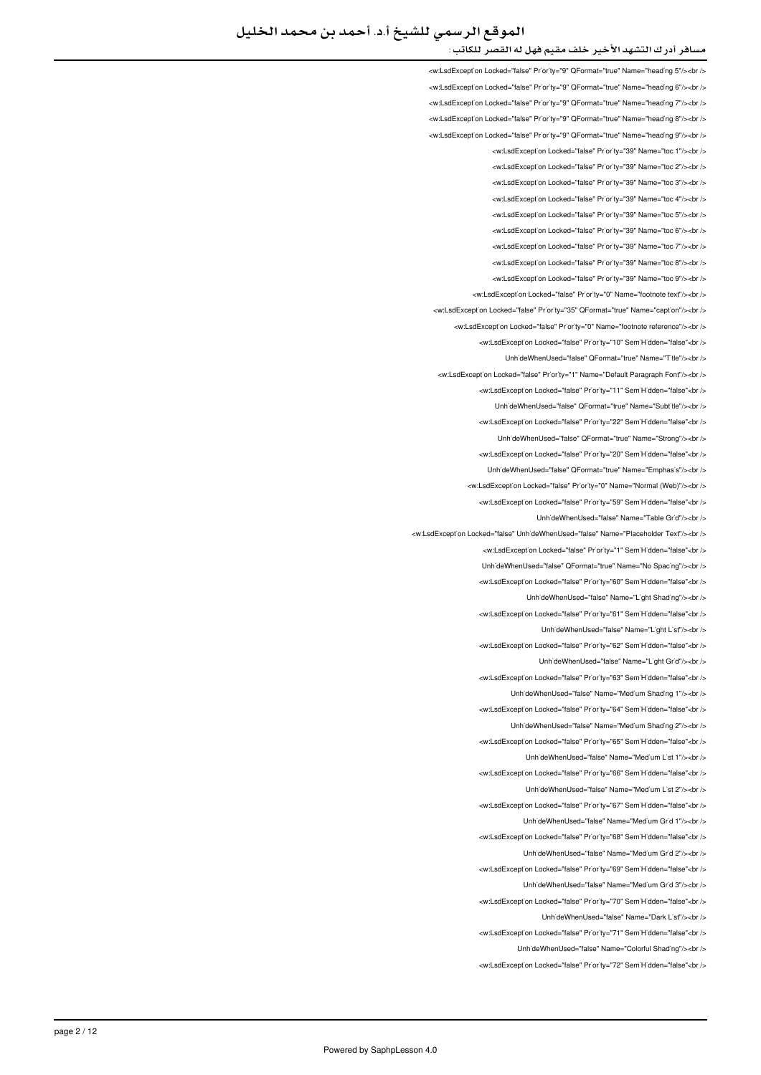## الموقع الرسمي للشيخ أ.د. أحمد بن محمد الخليل

### مسافر أدرك التشهد الأخير خلف مقيم فهل له القصر للكاتب :

<w:LsdException Locked="false" Priority="9" QFormat="true" Name="heading 5"/><br /> <w:LsdException Locked="false" Priority="9" QFormat="true" Name="heading 6"/><br /> <w:LsdException Locked="false" Priority="9" QFormat="true" Name="heading 7"/><br /> <w:LsdExcept'on Locked="false" Pr'or'ty="9" QFormat="true" Name="head'ng 8"/><br /> <w:LsdException Locked="false" Priority="9" QFormat="true" Name="heading 9"/><br /> <w:LsdException Locked="false" Priority="39" Name="toc 1"/><hr /> <w:LsdException Locked="false" Priority="39" Name="toc 2"/><br/><ht> <w:LsdException Locked="false" Priority="39" Name="toc 3"/><br/>>br <w:LsdException Locked="false" Priority="39" Name="toc 4"/><hr /> <w:LsdException Locked="false" Priority="39" Name="toc 5"/><br /> <w:LsdException Locked="false" Priority="39" Name="toc 6"/><br/>>htion: <w:LsdException Locked="false" Priority="39" Name="toc 7"/><br /> <w:LsdException Locked="false" Priority="39" Name="toc 8"/><br/></br/> <w:LsdExcept'on Locked="false" Pr'or'ty="39" Name="toc 9"/><br /> <w:LsdExcept'on Locked="false" Pr'or'ty="0" Name="footnote text"/><br /> <w:LsdException Locked="false" Priority="35" QFormat="true" Name="caption"/><br /> <w:LsdException Locked="false" Priority="0" Name="footnote reference"/><br /> <w:LsdException Locked="false" Priority="10" SemiHidden="false"<br/>>br/> Unh'deWhenUsed="false" QFormat="true" Name="T'tle"/><br /> <w:LodException Locked="false" Priority="1" Name="Default Paragraph Eont"/ <w:LsdException Locked="false" Priority="11" SemiHidden="false"<br/>>br/> UnhideWhenUsed="false" OFormat="true" Name="Subtitle"/><br /> <w:LsdException Locked="false" Priority="22" SemiHidden="false"<br /> UnhideWhenUsed="false" QFormat="true" Name="Strong"/><br /> <w:LsdException Locked="false" Priority="20" SemiHidden="false"<br/>chi UnhideWhenUsed="false" QFormat="true" Name="Emphasis"/><br /> <w:LsdException Locked="false" Priority="0" Name="Normal (Web)"/><br /> <w:LsdExcept'on Locked="false" Pr'or'ty="59" Sem'H'dden="false"<br /> LinhideWhenLised="false" Name="Table Grid"/s<br/>chr <w:LsdExcept'on Locked="false" Unh'deWhenUsed="false" Name="Placeholder Text"/><br /> <w:LsdException Locked="false" Priority="1" SemiHidden="false"<hr /> Unh'deWhenUsed="false" QFormat="true" Name="No Spac'ng"/><br /> <w:LsdException Locked="false" Priority="60" SemiHidden="false"<br/>chi UnhideWhenUsed="false" Name="Light Shading"/><br /> <w:LsdException Locked="false" Priority="61" SemiHidden="false"<br/>chriden Unh'deWhenUsed="false" Name="L'ght L'st"/><br /> <w:LsdExcept'on Locked="false" Priority="62" Sem'H'dden="false"<br /> UnhideWhenUsed="false" Name="Light Grid"/><br /> <w:LsdException Locked="false" Priority="63" SemiHidden="false"<br/>kor/> LinhideWhenLised="false" Name="Medium Shading 1"/><hr /> <w:LsdException Locked="false" Priority="64" SemiHidden="false"<br/>chriden UnhideWhenUsed="false" Name="Medium Shading 2"/><br /> <w:LsdExcept'on Locked="false" Priority="65" Sem'H'dden="false"<br /> UnhideWhenUsed="false" Name="Medium List 1"/><ht /> <w:LsdException Locked="false" Priority="66" SemiHidden="false"<br/>cbr/> UnhideWhenUsed="false" Name="Medium List 2"/><br /> <w:LsdException Locked="false" Priority="67" SemiHidden="false"<br/>>htion: UnhideWhenUsed="false" Name="Medium Grid 1"/><br /> will sdException Locked="false" Priority="68" SemiHidden="false">br / UnhideWhenUsed="false" Name="Medium Grid 2"/><br /> <w:LsdExcept'on Locked="false" Pr'or'ty="69" Sem'H'dden="false"<br /> UnhideWhenUsed="false" Name="Medium Grid 3"/><br /> <w:LsdException Locked="false" Priority="70" SemiHidden="false"<br/>chriden UnhideWhenUsed="false" Name="Dark List"/><br /> <w:LsdException Locked="false" Priority="71" SemiHidden="false"<br/>check UnhideWhenUsed="false" Name="Colorful Shading"/><br /> <w:LsdException Locked="false" Priority="72" SemiHidden="false"<br/>chriden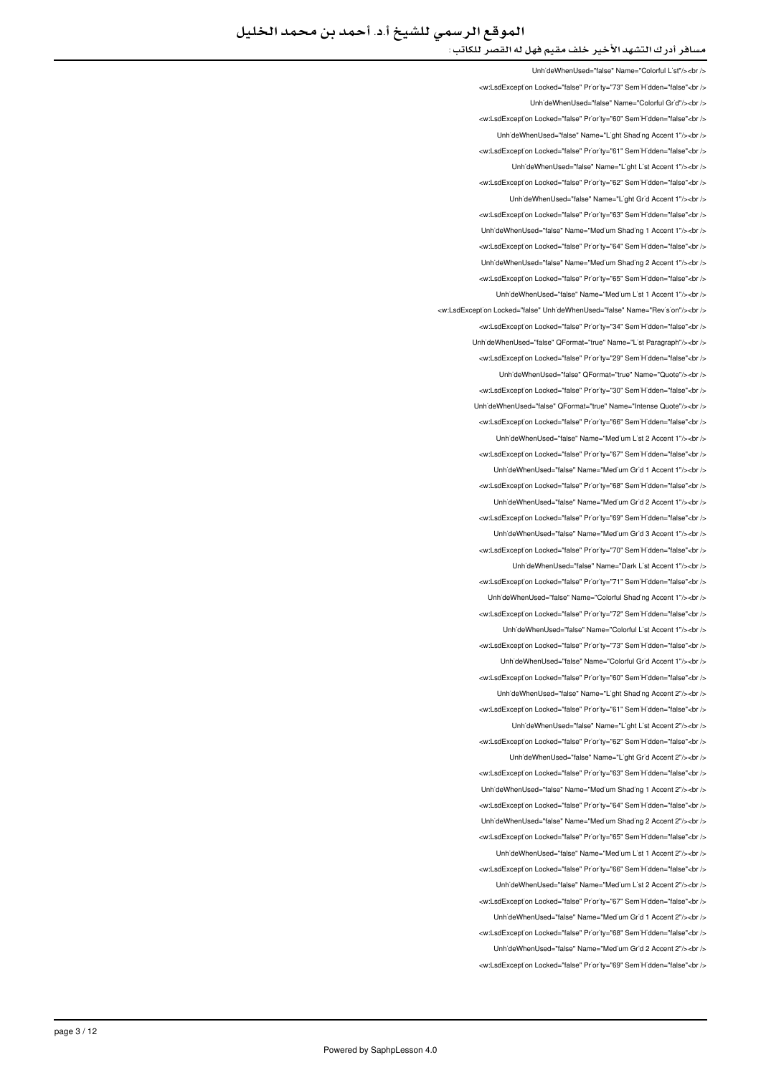UnhideWhenUsed="false" Name="Colorful List"/><ht /> <w:LsdException Locked="false" Priority="73" SemiHidden="false"<br/>child LinhideWhenUsed="false" Name="Colorful Grid"/><ht <w:LsdException Locked="false" Priority="60" SemiHidden="false"<br/>kor/> Unh'deWhenUsed="false" Name="L'ght Shading Accent 1"/><br /> <w:LsdException Locked="false" Priority="61" SemiHidden="false"<br/>chri UnhideWhenUsed="false" Name="Light List Accent 1"/><br /> <w:LsdExcept'on Locked="false" Priority="62" SemiHidden="false"<br/>>ht /> LinhideWhenUsed="false" Name="Light Grid Accent 1"/><hr /> <w:LsdException Locked="false" Priority="63" SemiHidden="false"<br /> UnhideWhenUsed="false" Name="Medium Shading 1 Accent 1"/><br /> <w:LsdException Locked="false" Priority="64" SemiHidden="false"<br /> UnhideWhenUsed="false" Name="Medium Shading 2 Accent 1"/><br /> <w:LsdExcept'on Locked="false" Pr'or'ty="65" Sem'H'dden="false"<br /> Unh'deWhenUsed="false" Name="Med'um L'st 1 Accent 1"/><br /> <w:LsdException Locked="false" UnhideWhenUsed="false" Name="Revision"/><br /> <w:LsdException Locked="false" Priority="34" SemiHidden="false"<br /> Unh'deWhenUsed="false" QFormat="true" Name="L'st Paragraph"/><br /> <w:LsdException Locked="false" Priority="29" SemiHidden="false"<br /> LinhideWhenHeed="false" OFormat="true" Name="Quote"/szhr <w:LsdException Locked="false" Priority="30" SemiHidden="false"<br/>>br/> UnhideWhenUsed="false" OFormat="true" Name="Intense Quote"/><br /> <w:LsdException Locked="false" Priority="66" SemiHidden="false"<br /> UnhideWhenUsed="false" Name="Medium List 2 Accent 1"/><br /> <w:LsdException Locked="false" Priority="67" SemiHidden="false"<br/>chi UnhideWhenUsed="false" Name="Medium Grid 1 Accent 1"/><br /> <w:LsdException Locked="false" Priority="68" SemiHidden="false"<br/>>htion LinhideWhenLised="false" Name="Medium Grid 2 Accent 1"/s<hr /s <w:LsdException Locked="false" Priority="69" SemiHidden="false"<br/>chriden Unh'deWhenUsed="false" Name="Med'um Gr'd 3 Accent 1"/><br /> <w:LsdException Locked="false" Priority="70" SemiHidden="false"<hr /> UnhideWhenUsed="false" Name="Dark List Accent 1"/><br /> <w:LsdException Locked="false" Priority="71" SemiHidden="false"<br/>check Unh'deWhenUsed="false" Name="Colorful Shading Accent 1"/><br /> <w:LsdException Locked="false" Priority="72" SemiHidden="false"<br/>chriden Unh'deWhenUsed="false" Name="Colorful L'st Accent 1"/><br /> <w:LsdExcept'on Locked="false" Priority="73" Sem'H'dden="false"<br /> UnhideWhenUsed="false" Name="Colorful Grid Accent 1"/><ht /> <w:LsdException Locked="false" Priority="60" SemiHidden="false"<br/>kor/> LinhideWhenLised="false" Name="Light Shading Accent 2"/s<hr /s <w:LsdException Locked="false" Priority="61" SemiHidden="false"<br/>chriden UnhideWhenUsed="false" Name="Light List Accent 2"/><br /> <w:LsdException Locked="false" Priority="62" SemiHidden="false"<br /> UnhideWhenUsed="false" Name="Light Grid Accent 2"/><ht /> <w:LsdException Locked="false" Priority="63" SemiHidden="false"<br/>cbr/> UnhideWhenUsed="false" Name="Medium Shading 1 Accent 2"/><br /> <w:LsdException Locked="false" Priority="64" SemiHidden="false"<br/>>htion: Unh'deWhenUsed="false" Name="Med'um Shad'ng 2 Accent 2"/><br /> will sdException Locked="false" Priority="65" SemiHidden="false">br / Unh'deWhenUsed="false" Name="Med'um L'st 1 Accent 2"/><br /> <w:LsdExcept'on Locked="false" Pr'or'ty="66" Sem'H'dden="false"<br /> UnhideWhenUsed="false" Name="Medium List 2 Accent 2"/><br /> <w:LsdException Locked="false" Priority="67" SemiHidden="false"<br/>chr UnhideWhenUsed="false" Name="Medium Grid 1 Accent 2"/><br /> <w:LsdException Locked="false" Priority="68" SemiHidden="false"<br/>>ht/> Unh'deWhenUsed="false" Name="Med'um Gr'd 2 Accent 2"/><br /> <w:LsdException Locked="false" Priority="69" SemiHidden="false"<br/>chriden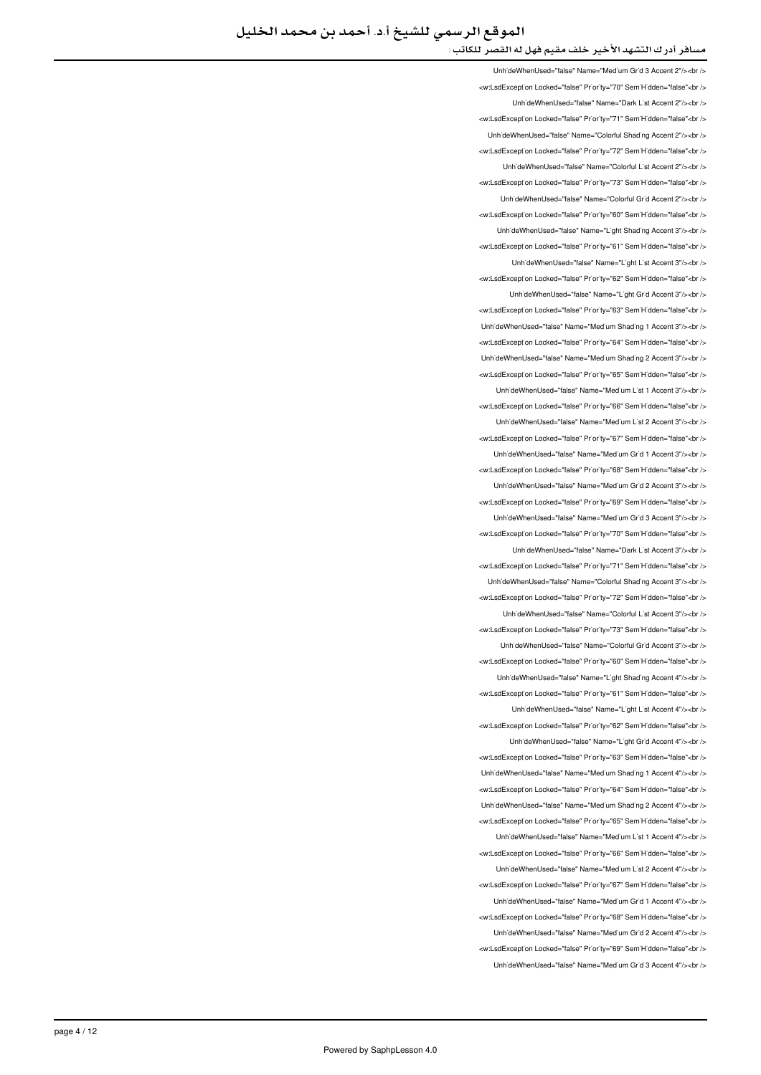UnhideWhenUsed="false" Name="Medium Grid 3 Accent 2"/><br /> </w:LsdException Locked="false" Priority="70" SemiHidden="false"<br/>chi UnhideWhenUsed="false" Name="Dark List Accent 2"/><ht /> <w:LsdException Locked="false" Priority="71" SemiHidden="false"<br/>kor/> Unh'deWhenUsed="false" Name="Colorful Shading Accent 2"/><br /> <w:LsdException Locked="false" Priority="72" SemiHidden="false"<br/>chri LinhideWhenHeed="false" Name="Colorful List Accent 2"/szhr /s <w:LsdExcept'on Locked="false" Priority="73" SemiHidden="false"<br/>>ht /> LinhideWhenUsed="false" Name="Colorful Grid Accent 2"/><hr /> <w:LsdException Locked="false" Priority="60" SemiHidden="false"<br /> UnhideWhenUsed="false" Name="Light Shading Accent 3"/><br /> <w:LsdException Locked="false" Priority="61" SemiHidden="false"<br /> LinhideWhenUsed="false" Name="Light List Accent 3"/><ht /> <w:LsdExcept'on Locked="false" Pr'or'ty="62" Sem'H'dden="false"<br /> Unh'deWhenUsed="false" Name="L'ght Gr'd Accent 3"/><br /> <w:LsdException Locked="false" Priority="63" SemiHidden="false"<br/>chriden Unh'deWhenUsed="false" Name="Med'um Shad'ng 1 Accent 3"/><br /> <w:LsdException Locked="false" Priority="64" SemiHidden="false"<br/>>htion: Unh'deWhenUsed="false" Name="Med'um Shad'ng 2 Accent 3"/><br /> will sdException Locked="false" Priority="65" SemiHidden="false" <ht /s Unh'deWhenUsed="false" Name="Medium List 1 Accent 3"/><br /> <w:LsdException Locked="false" Priority="66" SemiHidden="false"<br/>chriden Unh'deWhenUsed="false" Name="Med'um L'st 2 Accent 3"/><br /> <w:LsdException Locked="false" Priority="67" SemiHidden="false"<br/>>htion: UnhideWhenUsed="false" Name="Medium Grid 1 Accent 3"/><br /> <w:LsdException Locked="false" Priority="68" SemiHidden="false"<br/>>ht/> Unh'deWhenUsed="false" Name="Med'um Gr'd 2 Accent 3"/><br /> <w:LsdException Locked="false" Priority="69" SemiHidden="false"<hr /s LinhideWhenLised="false" Name="Medium Grid 3 Accent 3"/sabr /s <w:LsdException Locked="false" Priority="70" SemiHidden="false"<br/>>htion: LinhideWhenUsed="false" Name="Dark List Accent 3"/><hr /> <w:LsdException Locked="false" Priority="71" SemiHidden="false"<br /> Unh'deWhenUsed="false" Name="Colorful Shading Accent 3"/><br /> <w:LsdExcept'on Locked="false" Priority="72" Sem'H'dden="false"<br /> UnhideWhenUsed="false" Name="Colorful List Accent 3"/><ht /> <w:LsdException Locked="false" Priority="73" SemiHidden="false"<br/>>htion: UnhideWhenUsed="false" Name="Colorful Grid Accent 3"/><br /> <w:LsdException Locked="false" Priority="60" SemiHidden="false"<br/>chriden UnhideWhenUsed="false" Name="Light Shading Accent 4"/><br /> <w:LsdException Locked="false" Priority="61" SemiHidden="false"<hr /> Unh'deWhenUsed="false" Name="L'ght L'st Accent 4"/><br /> <w:LsdException Locked="false" Priority="62" SemiHidden="false"<br/>>ht> UnhideWhenUsed="false" Name="Light Grid Accent 4"/><br /> <w:LsdException Locked="false" Priority="63" SemiHidden="false"<br/>chriden Unh'deWhenUsed="false" Name="Med'um Shad'ng 1 Accent 4"/><br /> <w:LsdException Locked="false" Priority="64" SemiHidden="false"<br/>>ht/> UnhideWhenUsed="false" Name="Medium Shading 2 Accent 4"/><br /> <w:LsdExcept'on Locked="false" Priority="65" Sem'H'dden="false"<br /> LinhideWhenHeed="false" Name="Medium List 1 Accent 4"/sabr /s <w:LsdException Locked="false" Priority="66" SemiHidden="false"<br /> Unh'deWhenUsed="false" Name="Med'um L'st 2 Accent 4"/><br /> <w:LsdException Locked="false" Priority="67" SemiHidden="false"<br /> UnhideWhenUsed="false" Name="Medium Grid 1 Accent 4"/><br /> </w:LsdException Locked="false" Priority="68" SemiHidden="false"<br/>>ht /> LinhideWhenLised="false" Name="Medium Grid 2 Accent 4"/s<hr /s <w:LsdException Locked="false" Priority="69" SemiHidden="false"<br /> UnhideWhenUsed="false" Name="Medium Grid 3 Accent 4"/><br />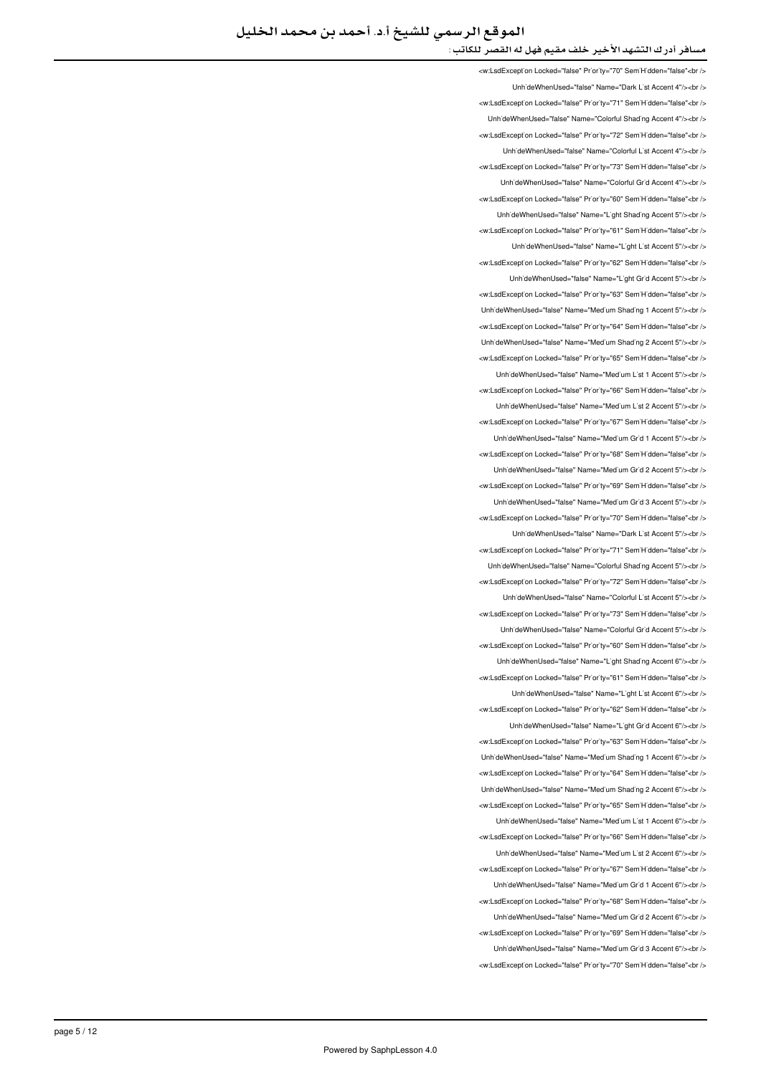<w:LsdException Locked="false" Priority="70" SemiHidden="false"<br /> UnhideWhenUsed="false" Name="Dark List Accent 4"/><br /> <w:LsdException Locked="false" Priority="71" SemiHidden="false"<br/>>ht/> UnhideWhenUsed="false" Name="Colorful Shading Accent 4"/><br /> <w:LsdExcept'on Locked="false" Pr'or'ty="72" Sem'H'dden="false"<br /> LinhideWhenLised="false" Name="Colorful List Accent 4"/s<hr /s <w:LsdException Locked="false" Priority="73" SemiHidden="false"<br/>chriden UnhideWhenUsed="false" Name="Colorful Grid Accent 4"/><br /> <w:LsdException Locked="false" Priority="60" SemiHidden="false"<hr /> Unh'deWhenUsed="false" Name="L'ght Shading Accent 5"/><br /> <w:LsdException Locked="false" Priority="61" SemiHidden="false"<br/>check UnhideWhenUsed="false" Name="Light List Accent 5"/><br /> <w:LsdException Locked="false" Priority="62" SemiHidden="false"<br /> Unh'deWhenUsed="false" Name="L'ght Gr'd Accent 5"/><br /> <w:LsdException Locked="false" Priority="63" SemiHidden="false"<br /> Unh'deWhenUsed="false" Name="Med'um Shad'ng 1 Accent 5"/><br /> <w:LsdExcept'on Locked="false" Pr'or'ty="64" Sem'H'dden="false"<br /> UnhideWhenUsed="false" Name="Medium Shading 2 Accent 5"/><br /> <w:LsdException Locked="false" Priority="65" SemiHidden="false"<br /> LinhideWhenLised="false" Name="Medium List 1 Accent 5"/schr /s <w:LsdException Locked="false" Priority="66" SemiHidden="false"<br/>>htion: UnhideWhenUsed="false" Name="Medium List 2 Accent 5"/><ht /> <w:LsdExcept'on Locked="false" Prior'ty="67" Sem'H'dden="false"<br /> UnhideWhenUsed="false" Name="Medium Grid 1 Accent 5"/><br /> <w:LsdException Locked="false" Priority="68" SemiHidden="false"<br/>chi UnhideWhenUsed="false" Name="Medium Grid 2 Accent 5"/><br /> <w:LsdException Locked="false" Priority="69" SemiHidden="false"<br/>>htion LinhideWhenLised="false" Name="Medium Grid 3 Accent 5"/s<hr /s <w:LsdException Locked="false" Priority="70" SemiHidden="false"<br/>chriden UnhideWhenUsed="false" Name="Dark List Accent 5"/><br /> <w:LsdException Locked="false" Priority="71" SemiHidden="false"<hr /> Unh'deWhenUsed="false" Name="Colorful Shading Accent 5"/><br /> <w:LsdException Locked="false" Priority="72" SemiHidden="false"<br/>>htion: LinhideWhenLised="false" Name="Colorful List Accent 5"/s<hr /s <w:LsdException Locked="false" Priority="73" SemiHidden="false"<br/>kor/> UnhideWhenUsed="false" Name="Colorful Grid Accent 5"/><br /> <w:LsdExcept'on Locked="false" Priority="60" Sem'H'dden="false"<br /> UnhideWhenUsed="false" Name="Light Shading Accent 6"/><br /> <w:LsdException Locked="false" Priority="61" SemiHidden="false"<br/>kor/> LinhideWhenLised="false" Name="Light List Accent 6"/><hr /> <w:LsdException Locked="false" Priority="62" SemiHidden="false"<br/>chriden Unh'deWhenUsed="false" Name="L'ght Gr'd Accent 6"/><br /> <w:LsdException Locked="false" Priority="63" SemiHidden="false"<br /> LinhideWhenUsed="false" Name="Medium Shading 1 Accent 6"/><ht /> <w:LsdException Locked="false" Priority="64" SemiHidden="false"<br/>chi/> UnhideWhenUsed="false" Name="Medium Shading 2 Accent 6"/><br /> <w:LsdException Locked="false" Priority="65" SemiHidden="false"<br/>>ht/> Unh'deWhenUsed="false" Name="Med'um L'st 1 Accent 6"/><br /> will sdException Locked="false" Priority="66" SemiHidden="false">br / Unh'deWhenUsed="false" Name="Medium List 2 Accent 6"/><br /> <w:LsdExcept'on Locked="false" Pr'or'ty="67" Sem'H'dden="false"<br /> UnhideWhenUsed="false" Name="Medium Grid 1 Accent 6"/><br /> <w:LsdException Locked="false" Priority="68" SemiHidden="false"<br/>chriden UnhideWhenUsed="false" Name="Medium Grid 2 Accent 6"/><br /> <w:LsdException Locked="false" Priority="69" SemiHidden="false"<br/>check Unh'deWhenUsed="false" Name="Med'um Gr'd 3 Accent 6"/><br /> <w:LsdException Locked="false" Priority="70" SemiHidden="false"<br/>chriden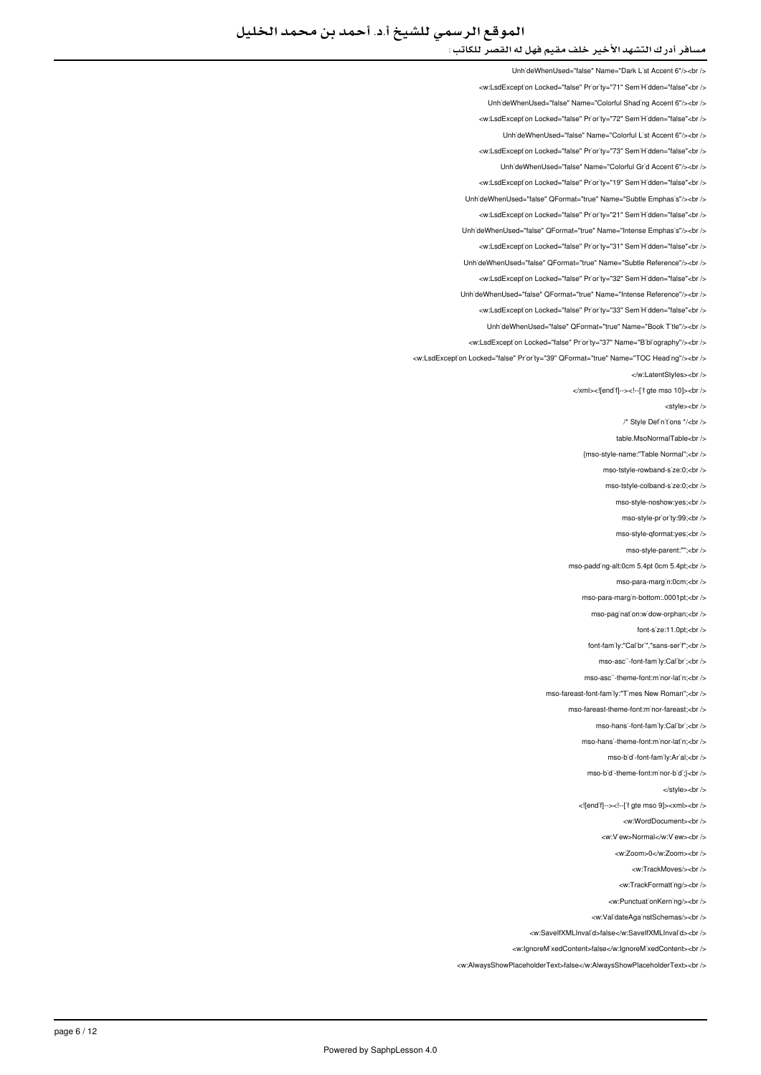LinhideWhenUsed="false" Name="Dark List Accent 6"/><br />

<w:LsdExcept'on Locked="false" Priority="71" Sem'H'dden="false"<br /> UnhideWhenUsed="false" Name="Colorful Shading Accent 6"/><br /> <w:LsdException Locked="false" Priority="72" SemiHidden="false"<br/>kor/> UnhideWhenUsed="false" Name="Colorful List Accent 6"/><br /> <w:LsdException Locked="false" Priority="73" SemiHidden="false"<br/>check LinhideWhenLised="false" Name="Colorful Grid Accent 6"/schr /s <w:LsdException Locked="false" Priority="19" SemiHidden="false"<br/>chi/> UnhideWhenUsed="false" QFormat="true" Name="Subtle Emphasis"/><br /> <w:LsdException Locked="false" Priority="21" SemiHidden="false"<br /> UnhideWhenUsed="false" QFormat="true" Name="Intense Emphasis"/><br /> <w:LsdException Locked="false" Priority="31" SemiHidden="false"<br /> UnhideWhenUsed="false" QFormat="true" Name="Subtle Reference"/><br /> <w:LsdExcept'on Locked="false" Pr'or'ty="32" Sem'H'dden="false"<br /> Unh'deWhenUsed="false" QFormat="true" Name="Intense Reference"/><br /> <w:LsdException Locked="false" Priority="33" SemiHidden="false"<br/>chriden Unh'deWhenUsed="false" QFormat="true" Name="Book T'tle"/><br /> <w:LsdException Locked="false" Priority="37" Name="Bibliography"/><br/><br/>br <w:LsdException Locked="false" Priority="39" QFormat="true" Name="TOC Heading"/><br /> </w:LatentStyles><hr> </xml><![end'f]--><!--['f gte mso 10]><br/>>br <style><br/>chr</> /\* Style Definitions \*/<br/>-> table.MsoNormalTable<br /> {mso-style-name:"Table Normal";<br /> mso-tstyle-rowband-s'ze:0;<br /> mso-tstyle-colband-s'ze:0;<br /> mso-style-noshow:yes;<br /> mso-style-pr'or'ty:99;<br /> mso-style-qformat:yes;<br /> mso-style-parent:"";<hr mso-padding-alt:0cm 5.4pt 0cm 5.4pt;<br/><br/>b/ mso-para-margin:0cm;<br /> mso-para-marg'n-bottom:.0001pt;<br /> mso-pagination:widow-orphan:<br/>checks font-s'ze:11.0pt;<br /> font-fam'ly:"Cal'br'","sans-ser'f";<br /> mso-asc"-font-family:Calibri;<br/>>br mso-asc"-theme-font:minor-latin;<br/>-br /> mso-fareast-font-family:"Times New Roman":<hr /> mso-fareast-theme-font:minor-fareast:<br /> mso-hansi-font-family:Calibri:<br/>-bri/> mso-hans'-theme-font:minor-latin;<br/>-br /> mso-bidi-font-family:Arial:<br/>chr /> mso-bidi-theme-font:minor-bidi;}<br/>chr /> </style><br/><br/>> <! [end'f]--><!--['f gte mso 9]><xml><br/>>br /> <w:WordDocument><br /> <w:VewsNormal>/w:Vews>br <w:Zoom>0</w:Zoom><br/><br/> <w:TrackMoves/><br/><br/> <w:TrackFormatting/> <w:PunctuationKerning/> <w:ValidateAgainstSchemas/> <br/>>ht> <w:SaveIfXMLInvalid>false</w:SaveIfXMLInvalid><br/></w </

<w:lgnoreMixedContent>false</w:lgnoreMixedContent><br />

<w:AlwaysShowPlaceholderText>false</w:AlwaysShowPlaceholderText><br />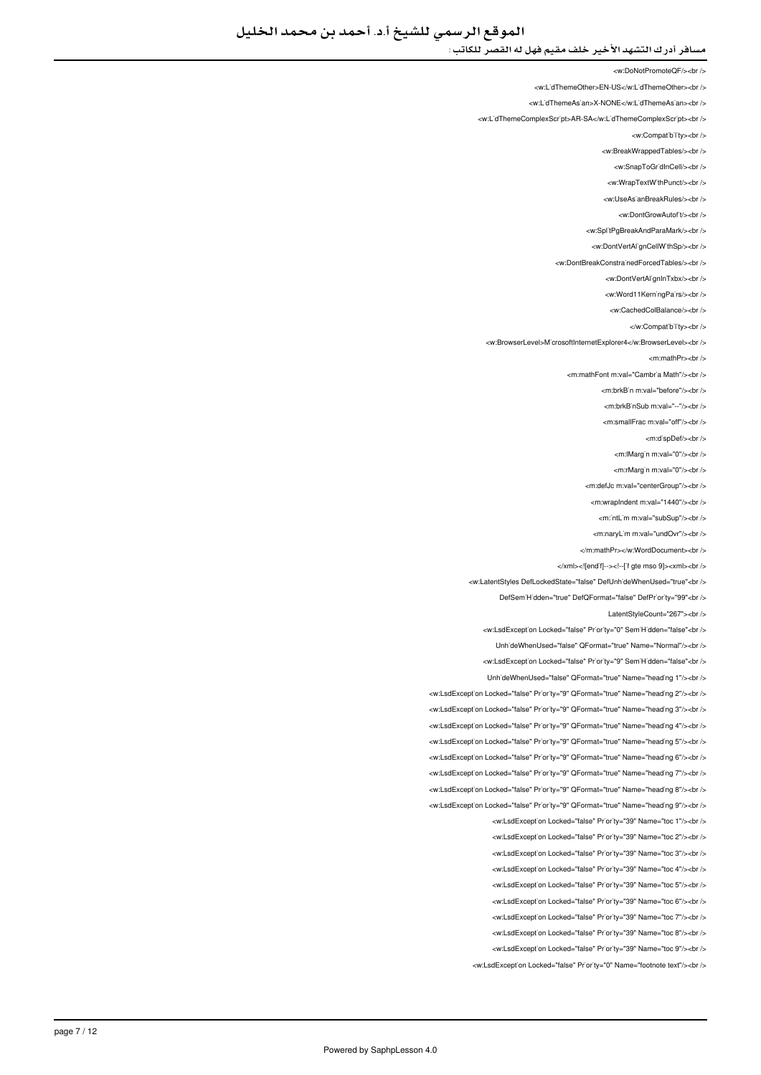<w:DoNotPromoteQF/><br/><br/>

<w:L'dThemeOther>EN-US</w:L'dThemeOther><br />

<w:LidThemeAsian>X-NONE</w:LidThemeAsian><ht></

<w:L'dThemeComplexScr`pt>AR-SA</w:L'dThemeComplexScr`pt><br />

<w:Compatibility><br/><br/>

<w:BreakWrappedTables/><br/><br/>

<w:SnapToGridInCell/s<br /s

<w:WrapTextWithPunct/><br/>> />

<w:UseAs'anBreakRules/><br/>

<w:DontGrowAutof<sup>t</sup>/><br/>

<w:SplitPgBreakAndParaMark/><br/>

<w:DontVertAl'gnCellW'thSp/><br />

<w:DontBreakConstrainedForcedTables/><br />>

<w:DontVertAl'gnInTxbx/><br />

<w:Word11KerningPairs/><br/><br/>

<w:CachedColBalance/><br />

</w:Compatibility><br/></w

<w:BrowserLevel>MicrosoftInternetExplorer4</w:BrowserLevel><br />

<m:mathPr><br/>->

-mimath Font mival-"Cambria Math"/s-br /s

<m:brkB'n m:val="before"/><br />

<m:brkB'nSub m:val="--"/><br />

<m:smallFrac m:val="off"/><br />

<m:dispDef/><br/>>br</

<m:lMargin m:val="0"/><br/><br/>

<m:rMargin m:val="0"/><br/>>br

<m:defJc m:val="centerGroup"/><br />

<m:wrapIndent m:val="1440"/><br/>>br <

<m:'ntLim m:val="subSup"/><br/><ht>

<m:naryLim m:val="undOvr"/><br />

</m:mathPr></w:WordDocument><hr

</xml><![endif]--><!--['f gte mso 9]><xml><br/>>br />

<w:LatentStyles DefLockedState="false" DefUnhideWhenUsed="true"<br />

DefSem'H'dden="true" DefQFormat="false" DefPr'or'ty="99"<br />

LatentStyleCount="267"><br />

<w:LsdException Locked="false" Priority="0" SemiHidden="false"<br/>>br/>

UnhideWhenUsed="false" QFormat="true" Name="Normal"/><br />

<w:LsdException Locked="false" Priority="9" SemiHidden="false"<br/>>htion:

Unh'deWhenUsed="false" QFormat="true" Name="heading 1"/><br />

<w:LsdException Locked="false" Priority="9" QEormat="true" Name="beading 2"/><hr

<w:LsdException Locked="false" Priority="9" QFormat="true" Name="heading 3"/><br /> <w:LsdException Locked="false" Priority="9" QFormat="true" Name="heading 4"/><br />

<w:LsdException Locked="false" Priority="9" QFormat="true" Name="heading 5"/><br />

<w:LsdException Locked="false" Priority="9" QFormat="true" Name="heading 6"/><br /> <w:LsdException Locked="false" Priority="9" QFormat="true" Name="heading 7"/><br />

<w:LsdException Locked="false" Priority="9" QFormat="true" Name="heading 8"/><br />

<w:LsdException Locked="false" Priority="9" QFormat="true" Name="heading 9"/><br />

<w:LsdException Locked="false" Priority="39" Name="toc 1"/><br />

<w:LsdException Locked="false" Priority="39" Name="toc 2"/><hr />

<w:LsdException Locked="false" Priority="39" Name="toc 3"/><br />

<w:LsdException Locked="false" Priority="39" Name="toc 4"/><br />

<w:LsdException Locked="false" Priority="39" Name="toc 5"/><br />

<w:LsdException Locked="false" Priority="39" Name="toc 6"/><br/><ht>

<w:LsdException Locked="false" Priority="39" Name="toc 7"/><br />

<w:LsdException Locked="false" Priority="39" Name="toc 8"/><br />

<w:LsdException Locked="false" Priority="39" Name="toc 9"/><br />

<w:LsdException Locked="false" Priority="0" Name="footnote text"/><br />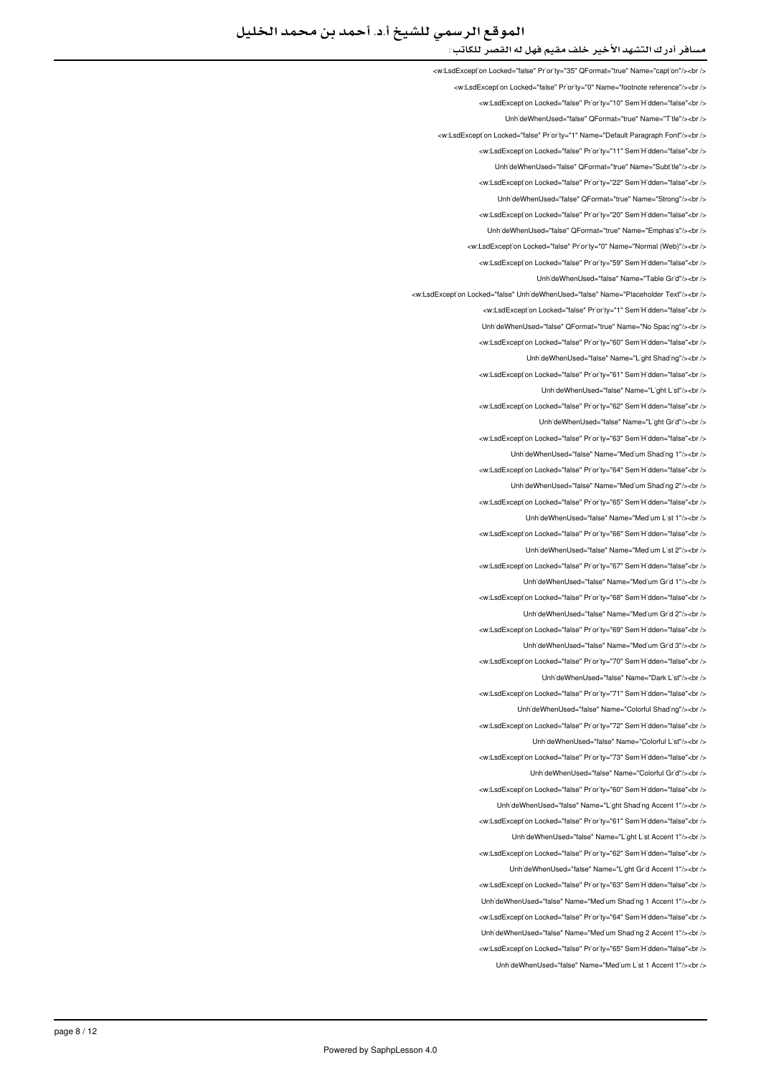# الموقع الرسمي للشيخ أ.د. أحمد بن محمد الخليل

### مسافر أدرك التشهد الأخير خلف مقيم فهل له القصر للكاتب :

<w:LsdExcept'on Locked="false" Pr'or'ty="35" QFormat="true" Name="capt'on"/><br /> </w:LsdException Locked="false" Priority="0" Name="footnote reference"/><br /> <w:LsdException Locked="false" Priority="10" SemiHidden="false"<br/>check UnhideWhenUsed="false" QFormat="true" Name="Title"/><br /> <w:LsdException Locked="false" Priority="1" Name="Default Paragraph Font"/><br /> \_<br>External prior in the "Semi-" priority in the "Hidden -"false" and the Unit of the Unit of the Unit Semi-Hidden LinhideWhenLised="false" OFormat="true" Name="Subtitle"/schr /s <w:LsdException Locked="false" Priority="22" SemiHidden="false"<br/>kor/> LinhideWhenLised="false" OFormat="true" Name="Strong"/s<hr /s <w:LsdException Locked="false" Priority="20" SemiHidden="false"<br/>kor/> UnhideWhenUsed="false" QFormat="true" Name="Emphasis"/><br /> <w:LsdException Locked="false" Priority="0" Name="Normal (Web)"/><br /> <w:LsdException Locked="false" Priority="59" SemiHidden="false"<br /> LinhideWhenUsed="false" Name="Table Grid"/><br /> <w:LsdException Locked="false" UnhideWhenUsed="false" Name="Placeholder Text"/><br /> <w:LsdException Locked="false" Priority="1" SemiHidden="false"<br/>chr UnhideWhenUsed="false" QFormat="true" Name="No Spacing"/><br /> <w:LsdException Locked="false" Priority="60" SemiHidden="false"<br/>chi/> UnhideWhenUsed="false" Name="Light Shading"/><br /> will sdException Locked="false" Priority="61" SemiHidden="false" chr Unh'deWhenUsed="false" Name="L'ght L'st"/><br /> <w:LsdException Locked="false" Priority="62" SemiHidden="false"<br/>chriden UnhideWhenUsed="false" Name="Light Grid"/><br /> <w:LsdException Locked="false" Priority="63" SemiHidden="false"<br/>>htion: UnhideWhenUsed="false" Name="Medium Shading 1"/><br /> <w:LsdException Locked="false" Priority="64" SemiHidden="false"<br/>>ht/> UnhideWhenUsed="false" Name="Medium Shading 2"/><br /> <w:LsdException Locked="false" Priority="65" SemiHidden="false"<hr /s LinhideWhenLised="false" Name="Medium List 1"/s<hr /s <w:LsdException Locked="false" Priority="66" SemiHidden="false"<br/>>htion: LinhideWhenLised="false" Name="Medium List 2"/><hr /> <w:LsdExcept'on Locked="false" Priority="67" Sem'H'dden="false"<br /> UnhideWhenUsed="false" Name="Medium Grid 1"/><br /> <w:LsdExcept'on Locked="false" Priority="68" Sem'H'dden="false"<br /> LinhideWhenUsed="false" Name="Medium Grid 2"/><hr /> <w:LsdException Locked="false" Priority="69" SemiHidden="false"<br/>cbr /> UnhideWhenUsed="false" Name="Medium Grid 3"/><br /> <w:LsdException Locked="false" Priority="70" SemiHidden="false"<br/>chriden UnhideWhenUsed="false" Name="Dark List"/><br /> <w:LsdException Locked="false" Priority="71" SemiHidden="false"<hr /s UnhideWhenUsed="false" Name="Colorful Shading"/><ht /> <w:LsdException Locked="false" Priority="72" SemiHidden="false"<br/>>htion: UnhideWhenUsed="false" Name="Colorful List"/><br /> <w:LsdException Locked="false" Priority="73" SemiHidden="false"<br/>chriden UnhideWhenUsed="false" Name="Colorful Grid"/><br /> <w:LsdException Locked="false" Priority="60" SemiHidden="false"<br/>>ht/> Unh'deWhenUsed="false" Name="L'ght Shading Accent 1"/><br /> <w:LsdExcept'on Locked="false" Priority="61" Sem'H'dden="false"<br /> LinhideWhenLised="false" Name="Light List Accent 1"/><hr /> <w:LsdException Locked="false" Priority="62" SemiHidden="false"<br /> Unh'deWhenUsed="false" Name="L'ght Gr'd Accent 1"/><br /> <w:LsdException Locked="false" Priority="63" SemiHidden="false"<br/>>ht/> UnhideWhenUsed="false" Name="Medium Shading 1 Accent 1"/><ht/>>ht <w:LsdException Locked="false" Priority="64" SemiHidden="false"<br /> LinhideWhenLised="false" Name="Medium Shading 2 Accent 1"/s<hr /s <w:LsdExcept'on Locked="false" Priority="65" SemiHidden="false"<br/>>ht/> UnhideWhenUsed="false" Name="Medium List 1 Accent 1"/><br />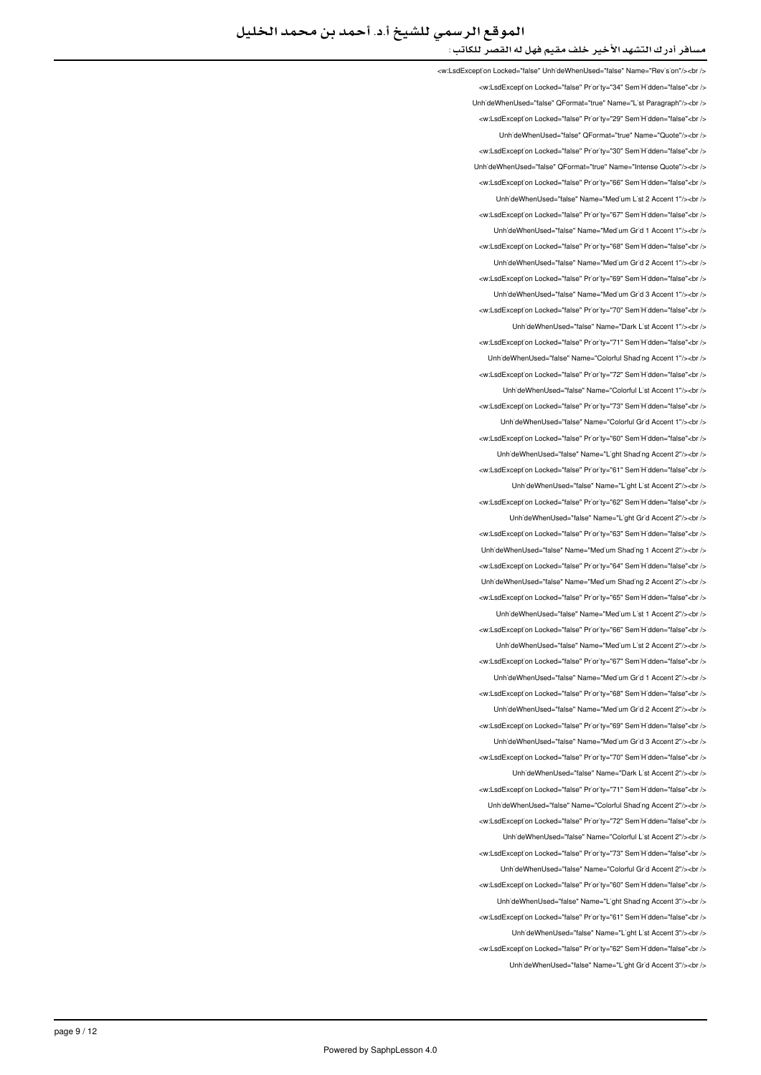<w:LsdException Locked="false" UnhideWhenUsed="false" Name="Revision"/><br/><br/>cht> <w:LsdException Locked="false" Priority="34" SemiHidden="false"<br/>child UnhideWhenUsed="false" QFormat="true" Name="List Paragraph"/><br /> <w:LsdException Locked="false" Priority="29" SemiHidden="false"<br/>kor/> UnhideWhenUsed="false" QFormat="true" Name="Quote"/><br /> \_<br>∠w:LsdException Locked="false" Priority="30" SemiHidden="false"∠br Linh'deWhenLised="false" OFormat="true" Name="Intense Quote"/sehr <w:LsdException Locked="false" Priority="66" SemiHidden="false"<br/>>htion LinhideWhenLised="false" Name="Medium List 2 Accent 1"/><hr /> <w:LsdException Locked="false" Priority="67" SemiHidden="false"<br /> UnhideWhenUsed="false" Name="Medium Grid 1 Accent 1"/><br /> <w:LsdException Locked="false" Priority="68" SemiHidden="false"<br /> UnhideWhenUsed="false" Name="Medium Grid 2 Accent 1"/><br /> <w:LsdExcept'on Locked="false" Pr'or'ty="69" Sem'H'dden="false"<br /> Unh'deWhenUsed="false" Name="Med'um Gr'd 3 Accent 1"/><br /> <w:LsdException Locked="false" Priority="70" SemiHidden="false"<br /> UnhideWhenUsed="false" Name="Dark List Accent 1"/><br /> <w:LsdException Locked="false" Priority="71" SemiHidden="false"<br/>>htion: Unh'deWhenUsed="false" Name="Colorful Shading Accent 1"/><br /> will sdException Locked="false" Priority="72" SemiHidden="false" chr Unh'deWhenUsed="false" Name="Colorful L'st Accent 1"/><br /> <w:LsdException Locked="false" Priority="73" SemiHidden="false"<br/>chriden Unh'deWhenUsed="false" Name="Colorful Gr'd Accent 1"/><br /> <w:LsdException Locked="false" Priority="60" SemiHidden="false"<br/>>htion: UnhideWhenUsed="false" Name="Light Shading Accent 2"/><br /> <w:LsdException Locked="false" Priority="61" SemiHidden="false"<br/>>ht/> UnhideWhenUsed="false" Name="Light List Accent 2"/><br /> <w:LsdException Locked="false" Priority="62" SemiHidden="false"<br /> UnhideWhenUsed="false" Name="Light Grid Accent 2"/><br /> <w:LsdException Locked="false" Priority="63" SemiHidden="false"<br/>>htion: LinhideWhenLised="false" Name="Medium Shading 1 Accent 2"/s<hr /s <w:LsdExcept'on Locked="false" Priority="64" Sem'H'dden="false"<br /> UnhideWhenUsed="false" Name="Medium Shading 2 Accent 2"/><br /> <w:LsdExcept'on Locked="false" Priority="65" Sem'H'dden="false"<br /> UnhideWhenUsed="false" Name="Medium List 1 Accent 2"/><ht /> <w:LsdException Locked="false" Priority="66" SemiHidden="false"<br/>cbr /> UnhideWhenUsed="false" Name="Medium List 2 Accent 2"/><br /> <w:LsdException Locked="false" Priority="67" SemiHidden="false"<br/>chriden Unh'deWhenUsed="false" Name="Med'um Gr'd 1 Accent 2"/><br /> <w:LsdException Locked="false" Priority="68" SemiHidden="false"<hr /> UnhideWhenUsed="false" Name="Medium Grid 2 Accent 2"/><br /> <w:LsdException Locked="false" Priority="69" SemiHidden="false"<br/>>ht> UnhideWhenUsed="false" Name="Medium Grid 3 Accent 2"/><br /> <w:LsdException Locked="false" Priority="70" SemiHidden="false"<br/>chriden Unh'deWhenUsed="false" Name="Dark L'st Accent 2"/><br /> <w:LsdException Locked="false" Priority="71" SemiHidden="false"<br/>>ht/> Unh'deWhenUsed="false" Name="Colorful Shading Accent 2"/><br /> <w:LsdExcept'on Locked="false" Priority="72" Sem'H'dden="false"<br /> LinhideWhenLised="false" Name="Colorful List Accent 2"/szhr /s <w:LsdExcept'on Locked="false" Priority="73" SemiHidden="false"<br/>>ht/> UnhideWhenUsed="false" Name="Colorful Grid Accent 2"/><br /> <w:LsdException Locked="false" Priority="60" SemiHidden="false"<br/>>ht/> UnhideWhenUsed="false" Name="Light Shading Accent 3"/><ht /> <w:LsdException Locked="false" Priority="61" SemiHidden="false"<br /> LinhideWhenLised="false" Name="Light List Accent 3"/><hr /> <w:LsdExcept'on Locked="false" Priority="62" SemiHidden="false"<br/>>ht/> UnhideWhenUsed="false" Name="Light Grid Accent 3"/><ht />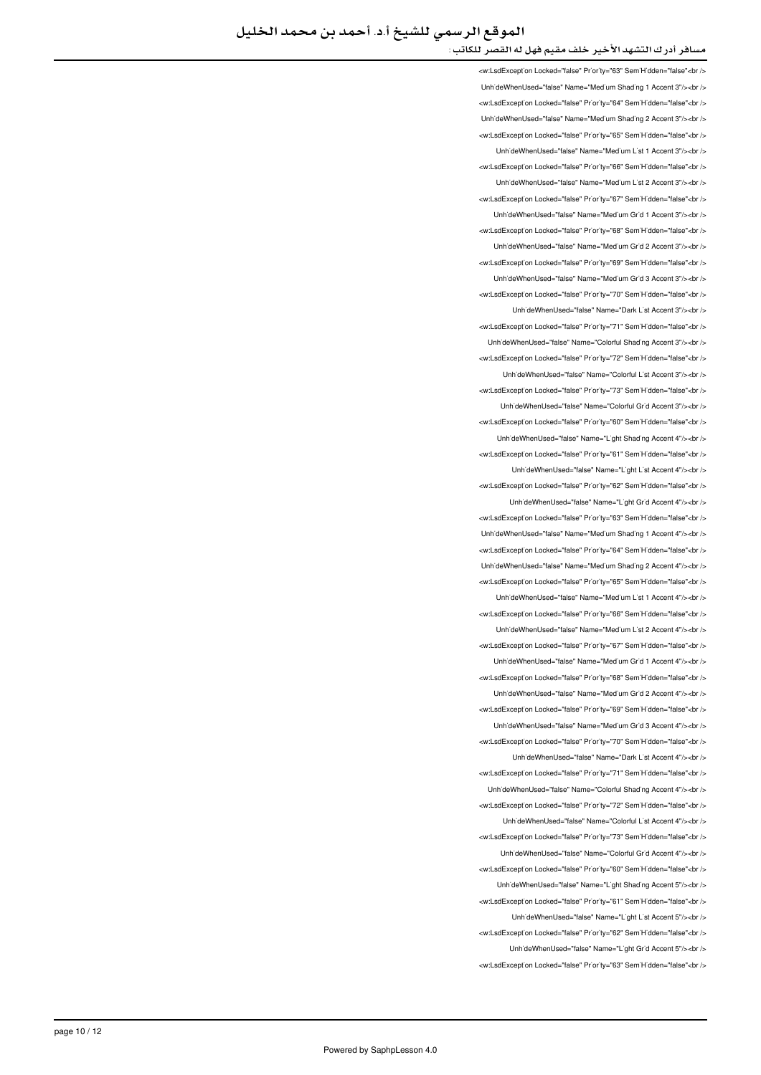<w:LsdException Locked="false" Priority="63" SemiHidden="false"<br /> Unh'deWhenUsed="false" Name="Med'um Shad'ng 1 Accent 3"/><br /> <w:LsdException Locked="false" Priority="64" SemiHidden="false"<br/>>ht/> Unh'deWhenUsed="false" Name="Med'um Shad'ng 2 Accent 3"/><br /> <w:LsdExcept'on Locked="false" Priority="65" Sem'H'dden="false"<br /> LinhideWhenLised="false" Name="Medium List 1 Accent 3"/><hr /> <w:LsdException Locked="false" Priority="66" SemiHidden="false"<br/>chriden Unh'deWhenUsed="false" Name="Medium List 2 Accent 3"/><br /> <w:LsdException Locked="false" Priority="67" SemiHidden="false"<hr /> UnhideWhenUsed="false" Name="Medium Grid 1 Accent 3"/><br /> <w:LsdException Locked="false" Priority="68" SemiHidden="false"<br/>check UnhideWhenUsed="false" Name="Medium Grid 2 Accent 3"/><br /> <w:LsdException Locked="false" Priority="69" SemiHidden="false"<br /> UnhideWhenUsed="false" Name="Medium Grid 3 Accent 3"/><hr /> <w:LsdException Locked="false" Priority="70" SemiHidden="false"<br /> UnhideWhenUsed="false" Name="Dark List Accent 3"/><br /> <w:LsdException Locked="false" Priority="71" SemiHidden="false"<br /> Unh'deWhenUsed="false" Name="Colorful Shading Accent 3"/><br /> <w:LsdException Locked="false" Priority="72" SemiHidden="false"<br /> LinhideWhenLised="false" Name="Colorful List Accent 3"/schr /s <w:LsdException Locked="false" Priority="73" SemiHidden="false"<br /> UnhideWhenUsed="false" Name="Colorful Grid Accent 3"/><ht /> <w:LsdException Locked="false" Priority="60" SemiHidden="false"<br/>chi/> UnhideWhenUsed="false" Name="Light Shading Accent 4"/><br /> <w:LsdException Locked="false" Priority="61" SemiHidden="false"<br /> UnhideWhenUsed="false" Name="Light List Accent 4"/><br /> <w:LsdException Locked="false" Priority="62" SemiHidden="false"<br/>>htion Unh'deWhenUsed="false" Name="L'ght Gr'd Accent 4"/><br /> <w:LsdException Locked="false" Priority="63" SemiHidden="false"<br/>chriden Unh'deWhenUsed="false" Name="Med'um Shad'ng 1 Accent 4"/><br /> <w:LsdException Locked="false" Priority="64" SemiHidden="false"<hr /> Unh'deWhenUsed="false" Name="Med'um Shading 2 Accent 4"/><br /> <w:LsdException Locked="false" Priority="65" SemiHidden="false"<br/>check LinhideWhenUsed="false" Name="Medium List 1 Accent 4"/s<hr /s <w:LsdException Locked="false" Priority="66" SemiHidden="false"<br/>kor/> Unh'deWhenUsed="false" Name="Med'um L'st 2 Accent 4"/><br /> <w:LsdExcept'on Locked="false" Priority="67" Sem'H'dden="false"<br /> UnhideWhenUsed="false" Name="Medium Grid 1 Accent 4"/><br /> <w:LsdException Locked="false" Priority="68" SemiHidden="false"<br/>kor/> LinhideWhenLised="false" Name="Medium Grid 2 Accent 4"/s<hr /s <w:LsdException Locked="false" Priority="69" SemiHidden="false"<br/>chriden LinhideWhenLised="false" Name="Medium Grid 3 Accent 4"/sebr /s <w:LsdException Locked="false" Priority="70" SemiHidden="false"<br /> LinhideWhenUsed="false" Name="Dark List Accent 4"/><ht /> <w:LsdException Locked="false" Priority="71" SemiHidden="false"<br/>cbr /> UnhideWhenUsed="false" Name="Colorful Shading Accent 4"/><br /> <w:LsdException Locked="false" Priority="72" SemiHidden="false"<br/>>ht/> UnhideWhenUsed="false" Name="Colorful List Accent 4"/><br /> will sdException Locked="false" Priority="73" SemiHidden="false" chr Unh'deWhenUsed="false" Name="Colorful Gr'd Accent 4"/><br /> <w:LsdExcept'on Locked="false" Pr'or'ty="60" Sem'H'dden="false"<br /> UnhideWhenUsed="false" Name="Light Shading Accent 5"/><br /> <w:LsdException Locked="false" Priority="61" SemiHidden="false"<br/>chriden UnhideWhenUsed="false" Name="Light List Accent 5"/><br /> <w:LsdException Locked="false" Priority="62" SemiHidden="false"<br/>check UnhideWhenUsed="false" Name="Light Grid Accent 5"/><br /> <w:LsdException Locked="false" Priority="63" SemiHidden="false"<br/>chr/s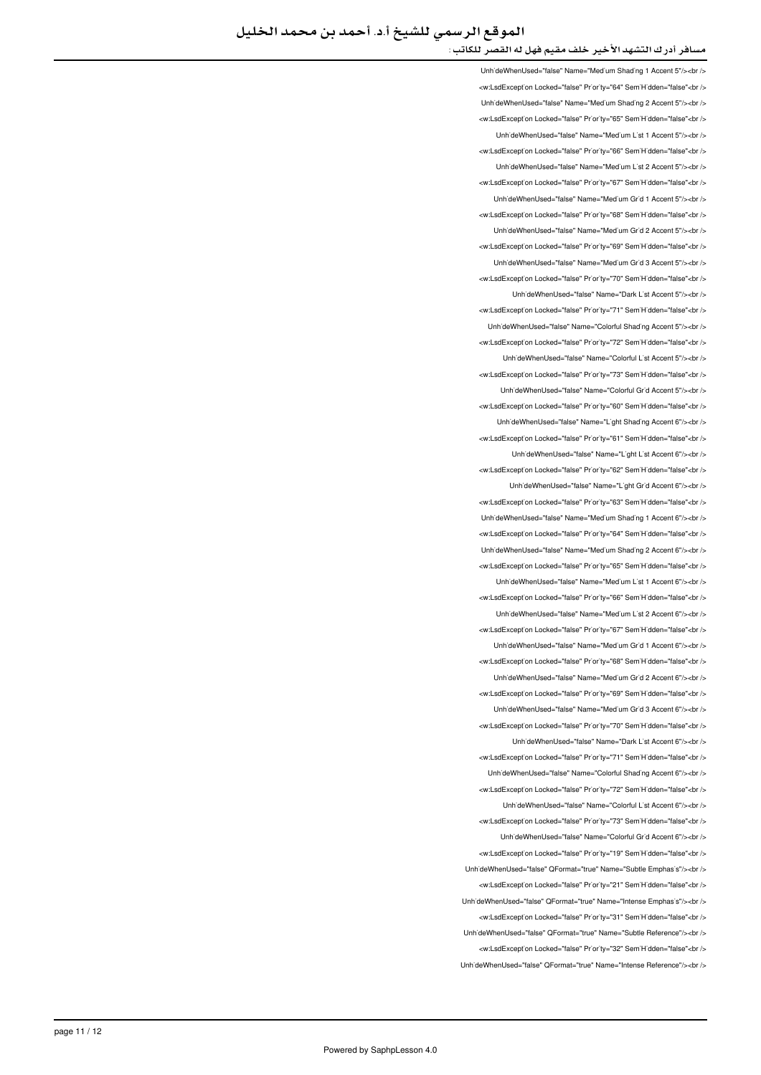Unh'deWhenUsed="false" Name="Med'um Shad'ng 1 Accent 5"/><br /> </w:LsdException Locked="false" Priority="64" SemiHidden="false"<br/>chi UnhideWhenUsed="false" Name="Medium Shading 2 Accent 5"/><br/>>ht <w:LsdException Locked="false" Priority="65" SemiHidden="false"<br/>kor/> UnhideWhenUsed="false" Name="Medium List 1 Accent 5"/><br /> </ br"<false="SemiHidden" 66="Priority" false="Locked LsdException:w < LinhideWhenLised="false" Name="Medium List 2 Accent 5"/schr /s <w:LsdException Locked="false" Priority="67" SemiHidden="false"<br/>>htion LinhideWhenLised="false" Name="Medium Grid 1 Accent 5"/><hr /> <w:LsdException Locked="false" Priority="68" SemiHidden="false"<br /> UnhideWhenUsed="false" Name="Medium Grid 2 Accent 5"/><br /> <w:LsdException Locked="false" Priority="69" SemiHidden="false"<br /> UnhideWhenUsed="false" Name="Medium Grid 3 Accent 5"/><br /> <w:LsdExcept'on Locked="false" Pr'or'ty="70" Sem'H'dden="false"<br /> UnhideWhenUsed="false" Name="Dark List Accent 5"/><ht /> <w:LsdException Locked="false" Priority="71" SemiHidden="false"<br/>chriden Unh'deWhenUsed="false" Name="Colorful Shading Accent 5"/><br /> <w:LsdException Locked="false" Priority="72" SemiHidden="false"<br/>khidden Unh'deWhenUsed="false" Name="Colorful L'st Accent 5"/><br /> will sdException Locked="false" Priority="73" SemiHidden="false" chr UnhideWhenUsed="false" Name="Colorful Grid Accent 5"/><br /> <w:LsdException Locked="false" Priority="60" SemiHidden="false"<br/>chriden Unh'deWhenUsed="false" Name="L'ght Shad'ng Accent 6"/><br /> <w:LsdException Locked="false" Priority="61" SemiHidden="false"<br/>>htion: UnhideWhenUsed="false" Name="Light List Accent 6"/><br /> <w:LsdException Locked="false" Priority="62" SemiHidden="false"<br/>>ht/> UnhideWhenUsed="false" Name="Light Grid Accent 6"/><br /> <w:LsdExcept'on Locked="false" Pr'or'ty="63" Sem'H'dden="false"<br /> LinhideWhenUsed="false" Name="Medium Shading 1 Accent 6"/><ht /> <w:LsdException Locked="false" Priority="64" SemiHidden="false"<br/>>htion LinhideWhenLised="false" Name="Medium Shading 2 Accent 6"/s<hr /s <w:LsdExcept'on Locked="false" Priority="65" Sem'H'dden="false"<br /> UnhideWhenUsed="false" Name="Medium List 1 Accent 6"/><br /> <w:LsdExcept'on Locked="false" Priority="66" Sem'H'dden="false"<br /> UnhideWhenUsed="false" Name="Medium List 2 Accent 6"/><br /> <w:LsdException Locked="false" Priority="67" SemiHidden="false"<br/>cbr /> Unh'deWhenUsed="false" Name="Med'um Gr'd 1 Accent 6"/><br /> <w:LsdException Locked="false" Priority="68" SemiHidden="false"<br/>chriden Unh'deWhenUsed="false" Name="Med'um Gr'd 2 Accent 6"/><br /> <w:LsdException Locked="false" Priority="69" SemiHidden="false"<hr /> UnhideWhenUsed="false" Name="Medium Grid 3 Accent 6"/><br /> <w:LsdException Locked="false" Priority="70" SemiHidden="false"<br/>>htion: UnhideWhenUsed="false" Name="Dark List Accent 6"/><br /> <w:LsdException Locked="false" Priority="71" SemiHidden="false"<br/>chriden Unh'deWhenUsed="false" Name="Colorful Shading Accent 6"/><br /> <w:LsdException Locked="false" Priority="72" SemiHidden="false"<br/>>ht/> UnhideWhenUsed="false" Name="Colorful List Accent 6"/><ht /> <w:LsdExcept'on Locked="false" Priority="73" Sem'H'dden="false"<br /> LinhideWhenLised="false" Name="Colorful Grid Accent 6"/schr /s <w:LsdExcept'on Locked="false" Pr'or'ty="19" Sem'H'dden="false"<br /> Unh'deWhenUsed="false" QFormat="true" Name="Subtle Emphas's"/><br /> <w:LsdException Locked="false" Priority="21" SemiHidden="false"<br/>>ht/> UnhideWhenUsed="false" OFormat="true" Name="Intense Emphasis"/><br /> <w:LsdException Locked="false" Priority="31" SemiHidden="false"<br /> -/ UnhideWhenUsed="false" QFormat="true" Name="Subtle Reference"/><br /> <w:LsdExcept'on Locked="false" Priority="32" SemiHidden="false"<br/>>ht/> LinhideWhenUsed="false" OFormat="true" Name="intense Reference"/><br />